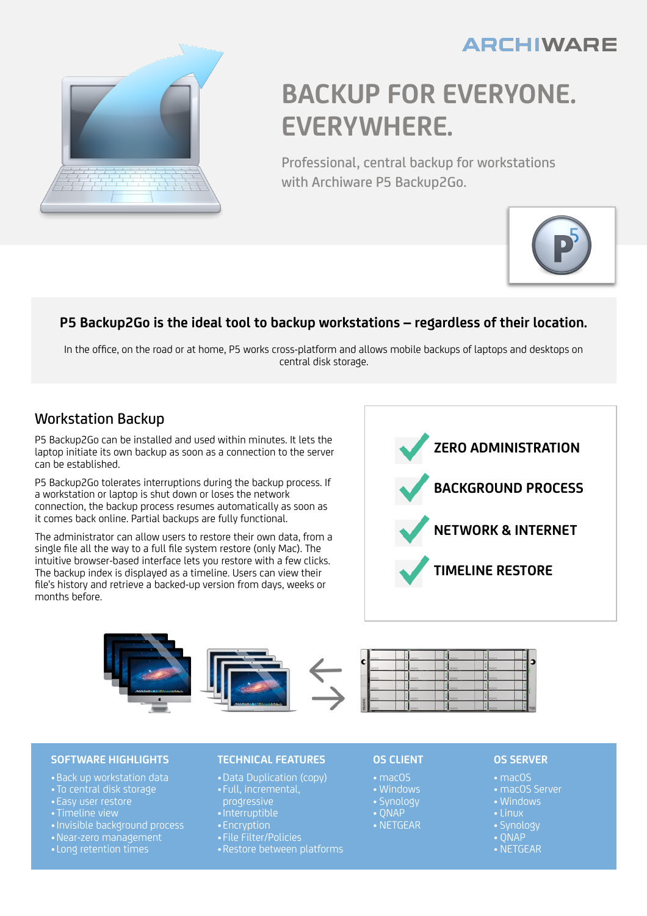## **ARCHIWARE**



# **BACKUP FOR EVERYONE. EVERYWHERE.**

Professional, central backup for workstations with Archiware P5 Backup2Go.



### **P5 Backup2Go is the ideal tool to backup workstations – regardless of their location.**

In the office, on the road or at home, P5 works cross-platform and allows mobile backups of laptops and desktops on central disk storage.

### Workstation Backup

P5 Backup2Go can be installed and used within minutes. It lets the laptop initiate its own backup as soon as a connection to the server can be established.

P5 Backup2Go tolerates interruptions during the backup process. If a workstation or laptop is shut down or loses the network connection, the backup process resumes automatically as soon as it comes back online. Partial backups are fully functional.

The administrator can allow users to restore their own data, from a single file all the way to a full file system restore (only Mac). The intuitive browser-based interface lets you restore with a few clicks. The backup index is displayed as a timeline. Users can view their file's history and retrieve a backed-up version from days, weeks or months before.





### **SOFTWARE HIGHLIGHTS**

- •Back up workstation data
- •To central disk storage
- 
- 
- •Invisible background process
- •Near-zero management
- •Long retention times

### **TECHNICAL FEATURES**

- •Data Duplication (copy)
- progressive
- •Interruptible
- Encryption
- File Filter/Policies
- 

### **OS CLIENT**

- macOS
- Windows
- Synology
- QNAP • NETGEAR

### **OS SERVER**

- macOS
- macOS Server
- Windows
- 
- QNAP
- NETGEAR
-